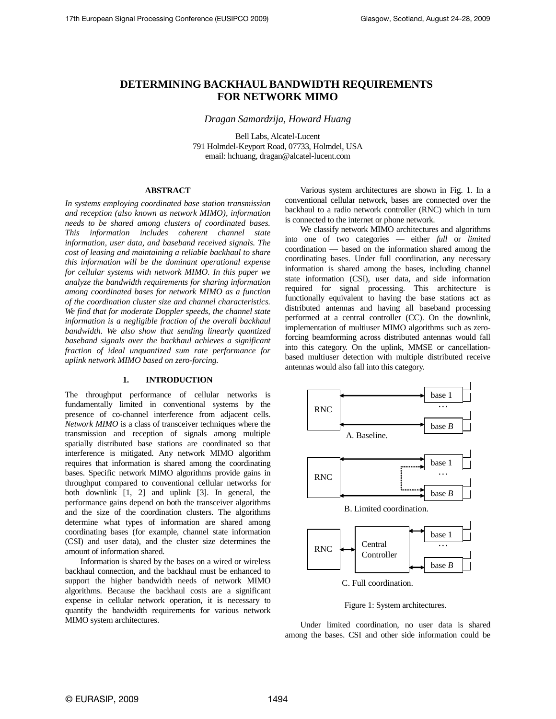# **DETERMINING BACKHAUL BANDWIDTH REQUIREMENTS FOR NETWORK MIMO**

*Dragan Samardzija, Howard Huang* 

Bell Labs, Alcatel-Lucent 791 Holmdel-Keyport Road, 07733, Holmdel, USA email: hchuang, dragan@alcatel-lucent.com

# **ABSTRACT**

*In systems employing coordinated base station transmission and reception (also known as network MIMO), information needs to be shared among clusters of coordinated bases. This information includes coherent channel state information, user data, and baseband received signals. The cost of leasing and maintaining a reliable backhaul to share this information will be the dominant operational expense for cellular systems with network MIMO. In this paper we analyze the bandwidth requirements for sharing information among coordinated bases for network MIMO as a function of the coordination cluster size and channel characteristics. We find that for moderate Doppler speeds, the channel state information is a negligible fraction of the overall backhaul bandwidth*. *We also show that sending linearly quantized baseband signals over the backhaul achieves a significant fraction of ideal unquantized sum rate performance for uplink network MIMO based on zero-forcing.* 

# **1. INTRODUCTION**

The throughput performance of cellular networks is fundamentally limited in conventional systems by the presence of co-channel interference from adjacent cells. *Network MIMO* is a class of transceiver techniques where the transmission and reception of signals among multiple spatially distributed base stations are coordinated so that interference is mitigated. Any network MIMO algorithm requires that information is shared among the coordinating bases. Specific network MIMO algorithms provide gains in throughput compared to conventional cellular networks for both downlink [1, 2] and uplink [3]. In general, the performance gains depend on both the transceiver algorithms and the size of the coordination clusters. The algorithms determine what types of information are shared among coordinating bases (for example, channel state information (CSI) and user data), and the cluster size determines the amount of information shared.

Information is shared by the bases on a wired or wireless backhaul connection, and the backhaul must be enhanced to support the higher bandwidth needs of network MIMO algorithms. Because the backhaul costs are a significant expense in cellular network operation, it is necessary to quantify the bandwidth requirements for various network MIMO system architectures.

Various system architectures are shown in Fig. 1. In a conventional cellular network, bases are connected over the backhaul to a radio network controller (RNC) which in turn is connected to the internet or phone network.

We classify network MIMO architectures and algorithms into one of two categories — either *full* or *limited*  coordination — based on the information shared among the coordinating bases. Under full coordination, any necessary information is shared among the bases, including channel state information (CSI), user data, and side information required for signal processing. This architecture is functionally equivalent to having the base stations act as distributed antennas and having all baseband processing performed at a central controller (CC). On the downlink, implementation of multiuser MIMO algorithms such as zeroforcing beamforming across distributed antennas would fall into this category. On the uplink, MMSE or cancellationbased multiuser detection with multiple distributed receive antennas would also fall into this category.



Figure 1: System architectures.

Under limited coordination, no user data is shared among the bases. CSI and other side information could be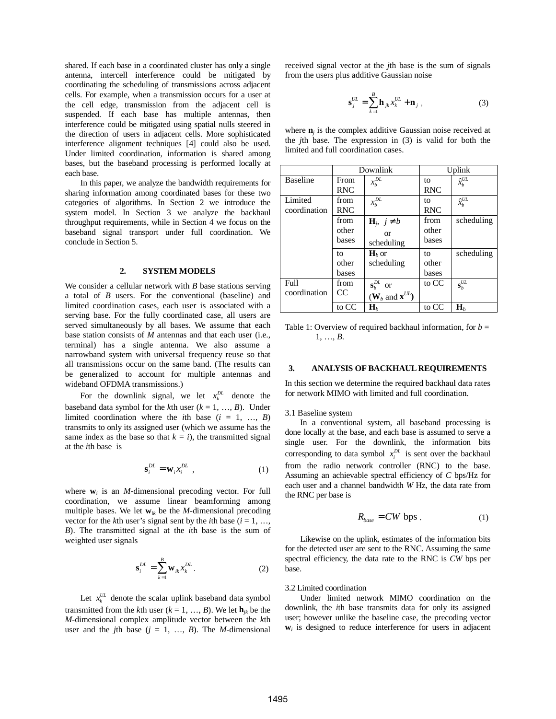shared. If each base in a coordinated cluster has only a single antenna, intercell interference could be mitigated by coordinating the scheduling of transmissions across adjacent cells. For example, when a transmission occurs for a user at the cell edge, transmission from the adjacent cell is suspended. If each base has multiple antennas, then interference could be mitigated using spatial nulls steered in the direction of users in adjacent cells. More sophisticated interference alignment techniques [4] could also be used. Under limited coordination, information is shared among bases, but the baseband processing is performed locally at each base.

In this paper, we analyze the bandwidth requirements for sharing information among coordinated bases for these two categories of algorithms. In Section 2 we introduce the system model. In Section 3 we analyze the backhaul throughput requirements, while in Section 4 we focus on the baseband signal transport under full coordination. We conclude in Section 5.

## **2. SYSTEM MODELS**

We consider a cellular network with *B* base stations serving a total of *B* users. For the conventional (baseline) and limited coordination cases, each user is associated with a serving base. For the fully coordinated case, all users are served simultaneously by all bases. We assume that each base station consists of *M* antennas and that each user (i.e., terminal) has a single antenna. We also assume a narrowband system with universal frequency reuse so that all transmissions occur on the same band. (The results can be generalized to account for multiple antennas and wideband OFDMA transmissions.)

For the downlink signal, we let  $x_k^{DL}$  denote the baseband data symbol for the *k*th user  $(k = 1, ..., B)$ . Under limited coordination where the *i*th base  $(i = 1, ..., B)$ transmits to only its assigned user (which we assume has the same index as the base so that  $k = i$ , the transmitted signal at the *i*th base is

$$
\mathbf{s}_i^{DL} = \mathbf{w}_i x_i^{DL} \tag{1}
$$

where  $w_i$  is an *M*-dimensional precoding vector. For full coordination, we assume linear beamforming among multiple bases. We let  $w_{ik}$  be the *M*-dimensional precoding vector for the *k*th user's signal sent by the *i*th base ( $i = 1, ...,$ *B*). The transmitted signal at the *i*th base is the sum of weighted user signals

$$
\mathbf{s}_{i}^{DL} = \sum_{k=1}^{B} \mathbf{w}_{ik} x_{k}^{DL} .
$$
 (2)

Let  $x_k^U$  denote the scalar uplink baseband data symbol transmitted from the *k*th user ( $k = 1, ..., B$ ). We let  $\mathbf{h}_{jk}$  be the *M*-dimensional complex amplitude vector between the *k*th user and the *j*th base  $(j = 1, ..., B)$ . The *M*-dimensional

received signal vector at the *j*th base is the sum of signals from the users plus additive Gaussian noise

$$
\mathbf{s}_{j}^{UL} = \sum_{k=1}^{B} \mathbf{h}_{jk} x_{k}^{UL} + \mathbf{n}_{j} , \qquad (3)
$$

where  $\mathbf{n}_i$  is the complex additive Gaussian noise received at the *j*th base. The expression in (3) is valid for both the limited and full coordination cases.

|                 | Downlink   |                                        | Uplink     |                       |
|-----------------|------------|----------------------------------------|------------|-----------------------|
| <b>Baseline</b> | From       | $x_{h}^{DL}$                           | to         | $\hat{x}_{k}^{UL}$    |
|                 | <b>RNC</b> |                                        | <b>RNC</b> |                       |
| Limited         | from       | $x_h^{DL}$                             | tο         | $\hat{x}_{k}^{UL}$    |
| coordination    | <b>RNC</b> |                                        | <b>RNC</b> |                       |
|                 | from       | $H_j$ , $j \neq b$                     | from       | scheduling            |
|                 | other      | $\alpha$                               | other      |                       |
|                 | bases      | scheduling                             | bases      |                       |
|                 | to         | $H_b$ or                               | to         | scheduling            |
|                 | other      | scheduling                             | other      |                       |
|                 | bases      |                                        | bases      |                       |
| Full            | from       | $\mathbf{s}_{h}^{DL}$<br><b>or</b>     | to CC      | $\mathbf{s}_{h}^{UL}$ |
| coordination    | CC         | $(\mathbf{W}_h$ and $\mathbf{x}^{UL})$ |            |                       |
|                 | to CC      | $\mathbf{H}_h$                         | to CC      | $\mathbf{H}_h$        |

Table 1: Overview of required backhaul information, for  $b =$ 1, …, *B*.

#### **3. ANALYSIS OF BACKHAUL REQUIREMENTS**

In this section we determine the required backhaul data rates for network MIMO with limited and full coordination.

#### 3.1 Baseline system

In a conventional system, all baseband processing is done locally at the base, and each base is assumed to serve a single user. For the downlink, the information bits corresponding to data symbol  $x_i^{DL}$  is sent over the backhaul from the radio network controller (RNC) to the base. Assuming an achievable spectral efficiency of *C* bps/Hz for each user and a channel bandwidth *W* Hz, the data rate from the RNC per base is

$$
R_{base} = CW \text{ bps} \tag{1}
$$

Likewise on the uplink, estimates of the information bits for the detected user are sent to the RNC. Assuming the same spectral efficiency, the data rate to the RNC is *CW* bps per base.

#### 3.2 Limited coordination

Under limited network MIMO coordination on the downlink, the *i*th base transmits data for only its assigned user; however unlike the baseline case, the precoding vector  $w_i$  is designed to reduce interference for users in adjacent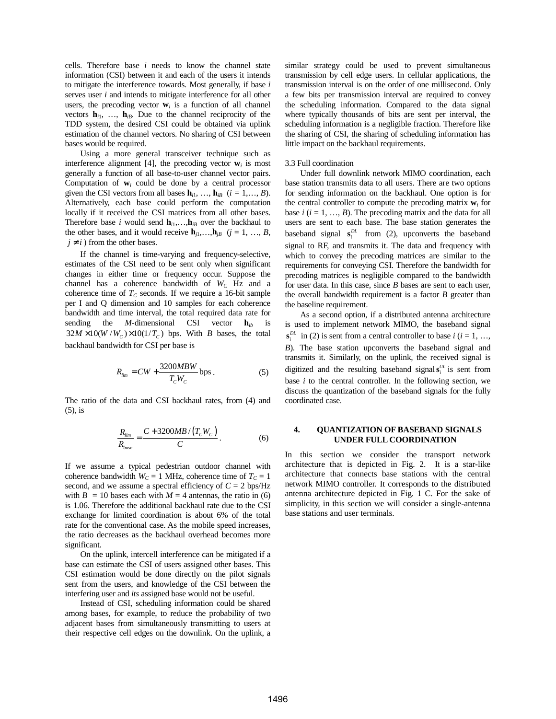cells. Therefore base *i* needs to know the channel state information (CSI) between it and each of the users it intends to mitigate the interference towards. Most generally, if base *i* serves user *i* and intends to mitigate interference for all other users, the precoding vector  $w_i$  is a function of all channel vectors  $h_{i1}$ , ...,  $h_{iB}$ . Due to the channel reciprocity of the TDD system, the desired CSI could be obtained via uplink estimation of the channel vectors. No sharing of CSI between bases would be required.

Using a more general transceiver technique such as interference alignment [4], the precoding vector  $\mathbf{w}_i$  is most generally a function of all base-to-user channel vector pairs. Computation of  $w_i$  could be done by a central processor given the CSI vectors from all bases  $\mathbf{h}_{i1}$ , ...,  $\mathbf{h}_{iB}$  ( $i = 1,..., B$ ). Alternatively, each base could perform the computation locally if it received the CSI matrices from all other bases. Therefore base *i* would send  $h_{i1}, \ldots, h_{iB}$  over the backhaul to the other bases, and it would receive  $\mathbf{h}_{i1},...,\mathbf{h}_{iB}$  ( $j = 1, ..., B$ ,  $j \neq i$ ) from the other bases.

If the channel is time-varying and frequency-selective, estimates of the CSI need to be sent only when significant changes in either time or frequency occur. Suppose the channel has a coherence bandwidth of *WC* Hz and a coherence time of  $T_C$  seconds. If we require a 16-bit sample per I and Q dimension and 10 samples for each coherence bandwidth and time interval, the total required data rate for sending the *M*-dimensional CSI vector  $\mathbf{h}_{ib}$  is  $32M \times 10(W/W_c) \times 10(1/T_c)$  bps. With *B* bases, the total backhaul bandwidth for CSI per base is

$$
R_{\rm lim} = CW + \frac{3200MBW}{T_cW_c} \text{bps} \,. \tag{5}
$$

The ratio of the data and CSI backhaul rates, from (4) and (5), is

$$
\frac{R_{lim}}{R_{base}} = \frac{C + 3200MB/(T_cW_c)}{C}.
$$
 (6)

If we assume a typical pedestrian outdoor channel with coherence bandwidth  $W_C = 1$  MHz, coherence time of  $T_C = 1$ second, and we assume a spectral efficiency of  $C = 2$  bps/Hz with  $B = 10$  bases each with  $M = 4$  antennas, the ratio in (6) is 1.06. Therefore the additional backhaul rate due to the CSI exchange for limited coordination is about 6% of the total rate for the conventional case. As the mobile speed increases, the ratio decreases as the backhaul overhead becomes more significant.

On the uplink, intercell interference can be mitigated if a base can estimate the CSI of users assigned other bases. This CSI estimation would be done directly on the pilot signals sent from the users, and knowledge of the CSI between the interfering user and *its* assigned base would not be useful.

Instead of CSI, scheduling information could be shared among bases, for example, to reduce the probability of two adjacent bases from simultaneously transmitting to users at their respective cell edges on the downlink. On the uplink, a similar strategy could be used to prevent simultaneous transmission by cell edge users. In cellular applications, the transmission interval is on the order of one millisecond. Only a few bits per transmission interval are required to convey the scheduling information. Compared to the data signal where typically thousands of bits are sent per interval, the scheduling information is a negligible fraction. Therefore like the sharing of CSI, the sharing of scheduling information has little impact on the backhaul requirements.

### 3.3 Full coordination

Under full downlink network MIMO coordination, each base station transmits data to all users. There are two options for sending information on the backhaul. One option is for the central controller to compute the precoding matrix  $w_i$  for base  $i$  ( $i = 1, ..., B$ ). The precoding matrix and the data for all users are sent to each base. The base station generates the baseband signal  $\mathbf{s}_i^{DL}$  from (2), upconverts the baseband signal to RF, and transmits it. The data and frequency with which to convey the precoding matrices are similar to the requirements for conveying CSI. Therefore the bandwidth for precoding matrices is negligible compared to the bandwidth for user data. In this case, since *B* bases are sent to each user, the overall bandwidth requirement is a factor *B* greater than the baseline requirement.

As a second option, if a distributed antenna architecture is used to implement network MIMO, the baseband signal  $S_i^{DL}$  in (2) is sent from a central controller to base *i* (*i* = 1, …, *B*). The base station upconverts the baseband signal and transmits it. Similarly, on the uplink, the received signal is digitized and the resulting baseband signal  $s_i^U$  is sent from base *i* to the central controller. In the following section, we discuss the quantization of the baseband signals for the fully coordinated case.

## **4. QUANTIZATION OF BASEBAND SIGNALS UNDER FULL COORDINATION**

In this section we consider the transport network architecture that is depicted in Fig. 2. It is a star-like architecture that connects base stations with the central network MIMO controller. It corresponds to the distributed antenna architecture depicted in Fig. 1 C. For the sake of simplicity, in this section we will consider a single-antenna base stations and user terminals.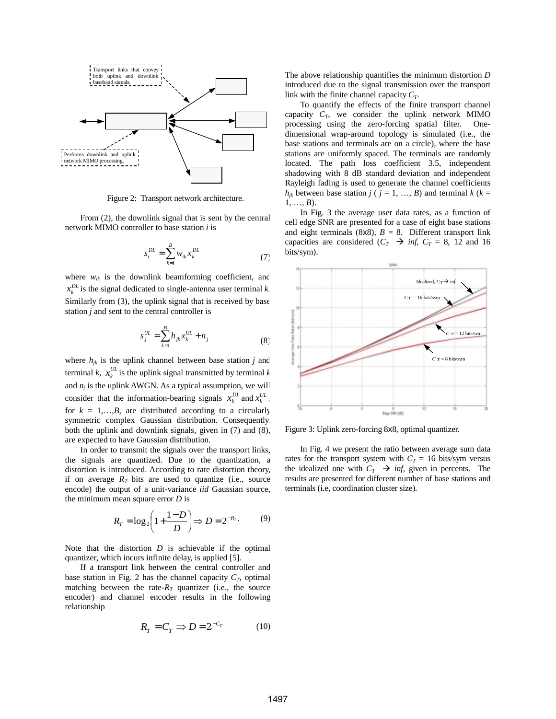

Figure 2: Transport network architecture.

From (2), the downlink signal that is sent by the central network MIMO controller to base station *i* is

$$
s_i^{DL} = \sum_{k=1}^{B} w_{ik} x_k^{DL}
$$
 (7)

where  $w_{ik}$  is the downlink beamforming coefficient, and  $x_k^{DL}$  is the signal dedicated to single-antenna user terminal *k*. Similarly from (3), the uplink signal that is received by base station *j* and sent to the central controller is

$$
s_j^{UL} = \sum_{k=1}^{B} h_{jk} x_k^{UL} + n_j
$$
 (8)

where  $h_{ik}$  is the uplink channel between base station *j* and terminal *k*,  $x_k^{UL}$  is the uplink signal transmitted by terminal *k* and  $n_i$  is the uplink AWGN. As a typical assumption, we will consider that the information-bearing signals  $x_k^{DL}$  and  $x_k^{UL}$ . for  $k = 1,...,B$ , are distributed according to a circularly symmetric complex Gaussian distribution. Consequently, both the uplink and downlink signals, given in (7) and (8), are expected to have Gaussian distribution.

In order to transmit the signals over the transport links, the signals are quantized. Due to the quantization, a distortion is introduced. According to rate distortion theory, if on average  $R_T$  bits are used to quantize (i.e., source encode) the output of a unit-variance *iid* Gaussian source, the minimum mean square error *D* is

$$
R_T = \log_2\left(1 + \frac{1 - D}{D}\right) \Rightarrow D = 2^{-R_T}.\tag{9}
$$

Note that the distortion *D* is achievable if the optimal quantizer, which incurs infinite delay, is applied [5].

If a transport link between the central controller and base station in Fig. 2 has the channel capacity  $C_T$ , optimal matching between the rate- $R_T$  quantizer (i.e., the source encoder) and channel encoder results in the following relationship

$$
R_T = C_T \implies D = 2^{-C_T} \tag{10}
$$

The above relationship quantifies the minimum distortion *D* introduced due to the signal transmission over the transport link with the finite channel capacity *CT*.

To quantify the effects of the finite transport channel capacity  $C_T$ , we consider the uplink network MIMO processing using the zero-forcing spatial filter. Onedimensional wrap-around topology is simulated (i.e., the base stations and terminals are on a circle), where the base stations are uniformly spaced. The terminals are randomly located. The path loss coefficient 3.5, independent shadowing with 8 dB standard deviation and independent Rayleigh fading is used to generate the channel coefficients  $h_{jk}$  between base station  $j$  ( $j = 1, ..., B$ ) and terminal  $k$  ( $k =$ 1, …, *B*).

In Fig. 3 the average user data rates, as a function of cell edge SNR are presented for a case of eight base stations and eight terminals (8x8),  $B = 8$ . Different transport link capacities are considered  $(C_T \rightarrow \inf, C_T = 8, 12 \text{ and } 16$ bits/sym).



Figure 3: Uplink zero-forcing 8x8, optimal quantizer.

In Fig. 4 we present the ratio between average sum data rates for the transport system with  $C_T = 16$  bits/sym versus the idealized one with  $C_T \rightarrow inf$ , given in percents. The results are presented for different number of base stations and terminals (i.e, coordination cluster size).